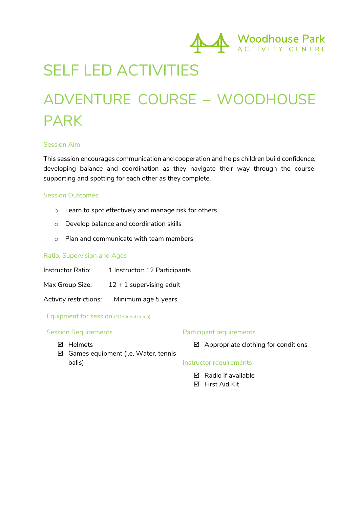

### SELF LED ACTIVITIES

## ADVENTURE COURSE – WOODHOUSE PARK

#### Session Aim

This session encourages communication and cooperation and helps children build confidence, developing balance and coordination as they navigate their way through the course, supporting and spotting for each other as they complete.

#### Session Outcomes

- o Learn to spot effectively and manage risk for others
- o Develop balance and coordination skills
- o Plan and communicate with team members

#### Ratio, Supervision and Ages

Instructor Ratio: 1 Instructor: 12 Participants

Max Group Size:  $12 + 1$  supervising adult

Activity restrictions: Minimum age 5 years.

Equipment for session (\*Optional items)

#### Session Requirements

#### Participant requirements

þ Helmets

- $\boxtimes$  Appropriate clothing for conditions
- $\boxtimes$  Games equipment (i.e. Water, tennis balls)

#### Instructor requirements

- $\nabla$  Radio if available
- þ First Aid Kit